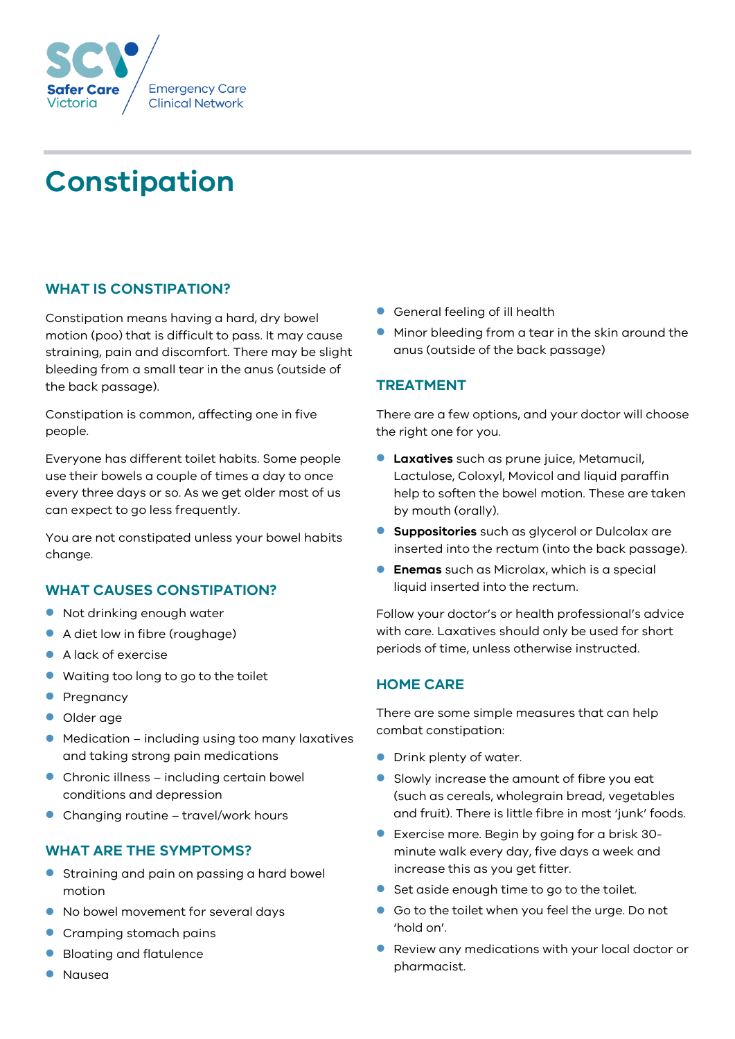

# **Constipation**

# **WHAT IS CONSTIPATION?**

Constipation means having a hard, dry bowel motion (poo) that is difficult to pass. It may cause straining, pain and discomfort. There may be slight bleeding from a small tear in the anus (outside of the back passage).

Constipation is common, affecting one in five people.

Everyone has different toilet habits. Some people use their bowels a couple of times a day to once every three days or so. As we get older most of us can expect to go less frequently.

You are not constipated unless your bowel habits change.

## **WHAT CAUSES CONSTIPATION?**

- Not drinking enough water
- A diet low in fibre (roughage)
- A lack of exercise
- Waiting too long to go to the toilet
- Pregnancy
- **Older** age
- Medication including using too many laxatives and taking strong pain medications
- Chronic illness including certain bowel conditions and depression
- Changing routine travel/work hours

## **WHAT ARE THE SYMPTOMS?**

- **•** Straining and pain on passing a hard bowel motion
- $\bullet$  No bowel movement for several days
- **Cramping stomach pains**
- **Bloating and flatulence**
- Nausea
- General feeling of ill health
- **Minor bleeding from a tear in the skin around the** anus (outside of the back passage)

# **TREATMENT**

There are a few options, and your doctor will choose the right one for you.

- **Laxatives** such as prune juice, Metamucil, Lactulose, Coloxyl, Movicol and liquid paraffin help to soften the bowel motion. These are taken by mouth (orally).
- **Suppositories** such as glycerol or Dulcolax are inserted into the rectum (into the back passage).
- **Enemas** such as Microlax, which is a special liquid inserted into the rectum.

Follow your doctor's or health professional's advice with care. Laxatives should only be used for short periods of time, unless otherwise instructed.

# **HOME CARE**

There are some simple measures that can help combat constipation:

- **•** Drink plenty of water.
- Slowly increase the amount of fibre you eat (such as cereals, wholegrain bread, vegetables and fruit). There is little fibre in most 'junk' foods.
- Exercise more. Begin by going for a brisk 30 minute walk every day, five days a week and increase this as you get fitter.
- Set aside enough time to go to the toilet.
- Go to the toilet when you feel the urge. Do not 'hold on'.
- Review any medications with your local doctor or pharmacist.